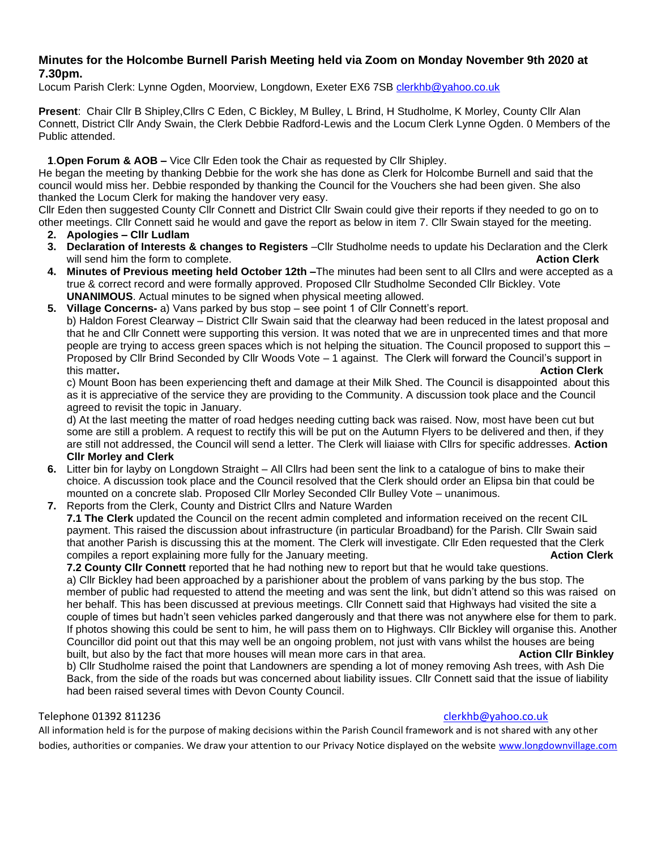# **Minutes for the Holcombe Burnell Parish Meeting held via Zoom on Monday November 9th 2020 at 7.30pm.**

Locum Parish Clerk: Lynne Ogden, Moorview, Longdown, Exeter EX6 7SB [clerkhb@yahoo.co.uk](mailto:clerkhb@yahoo.co.uk)

**Present**: Chair Cllr B Shipley,Cllrs C Eden, C Bickley, M Bulley, L Brind, H Studholme, K Morley, County Cllr Alan Connett, District Cllr Andy Swain, the Clerk Debbie Radford-Lewis and the Locum Clerk Lynne Ogden. 0 Members of the Public attended.

## **1**.**Open Forum & AOB –** Vice Cllr Eden took the Chair as requested by Cllr Shipley.

He began the meeting by thanking Debbie for the work she has done as Clerk for Holcombe Burnell and said that the council would miss her. Debbie responded by thanking the Council for the Vouchers she had been given. She also thanked the Locum Clerk for making the handover very easy.

Cllr Eden then suggested County Cllr Connett and District Cllr Swain could give their reports if they needed to go on to other meetings. Cllr Connett said he would and gave the report as below in item 7. Cllr Swain stayed for the meeting.

- **2. Apologies – Cllr Ludlam**
- **3. Declaration of Interests & changes to Registers** –Cllr Studholme needs to update his Declaration and the Clerk will send him the form to complete. **Action Clerk** and the sense of the sense of the sense of the sense of the sense of the sense of the sense of the sense of the sense of the sense of the sense of the sense of the sense o
- **4. Minutes of Previous meeting held October 12th –**The minutes had been sent to all Cllrs and were accepted as a true & correct record and were formally approved. Proposed Cllr Studholme Seconded Cllr Bickley. Vote **UNANIMOUS**. Actual minutes to be signed when physical meeting allowed.
- **5. Village Concerns-** a) Vans parked by bus stop see point 1 of Cllr Connett's report. b) Haldon Forest Clearway – District Cllr Swain said that the clearway had been reduced in the latest proposal and that he and Cllr Connett were supporting this version. It was noted that we are in unprecented times and that more people are trying to access green spaces which is not helping the situation. The Council proposed to support this – Proposed by Cllr Brind Seconded by Cllr Woods Vote – 1 against. The Clerk will forward the Council's support in this matter**. Action Clerk**

c) Mount Boon has been experiencing theft and damage at their Milk Shed. The Council is disappointed about this as it is appreciative of the service they are providing to the Community. A discussion took place and the Council agreed to revisit the topic in January.

d) At the last meeting the matter of road hedges needing cutting back was raised. Now, most have been cut but some are still a problem. A request to rectify this will be put on the Autumn Flyers to be delivered and then, if they are still not addressed, the Council will send a letter. The Clerk will liaiase with Cllrs for specific addresses. **Action Cllr Morley and Clerk**

- **6.** Litter bin for layby on Longdown Straight All Cllrs had been sent the link to a catalogue of bins to make their choice. A discussion took place and the Council resolved that the Clerk should order an Elipsa bin that could be mounted on a concrete slab. Proposed Cllr Morley Seconded Cllr Bulley Vote – unanimous.
- **7.** Reports from the Clerk, County and District Cllrs and Nature Warden

**7.1 The Clerk** updated the Council on the recent admin completed and information received on the recent CIL payment. This raised the discussion about infrastructure (in particular Broadband) for the Parish. Cllr Swain said that another Parish is discussing this at the moment. The Clerk will investigate. Cllr Eden requested that the Clerk compiles a report explaining more fully for the January meeting. **Action Clerk Action Clerk** 

**7.2 County Cllr Connett** reported that he had nothing new to report but that he would take questions. a) Cllr Bickley had been approached by a parishioner about the problem of vans parking by the bus stop. The member of public had requested to attend the meeting and was sent the link, but didn't attend so this was raised on her behalf. This has been discussed at previous meetings. Cllr Connett said that Highways had visited the site a couple of times but hadn't seen vehicles parked dangerously and that there was not anywhere else for them to park. If photos showing this could be sent to him, he will pass them on to Highways. Cllr Bickley will organise this. Another Councillor did point out that this may well be an ongoing problem, not just with vans whilst the houses are being built, but also by the fact that more houses will mean more cars in that area. **Action Clir Binkley** b) Cllr Studholme raised the point that Landowners are spending a lot of money removing Ash trees, with Ash Die Back, from the side of the roads but was concerned about liability issues. Cllr Connett said that the issue of liability had been raised several times with Devon County Council.

### Telephone 01392 811236 [clerkhb@yahoo.co.uk](mailto:clerkhb@yahoo.co.uk)

All information held is for the purpose of making decisions within the Parish Council framework and is not shared with any other bodies, authorities or companies. We draw your attention to our Privacy Notice displayed on the website [www.longdownvillage.com](http://www.longdownvillage.com/)